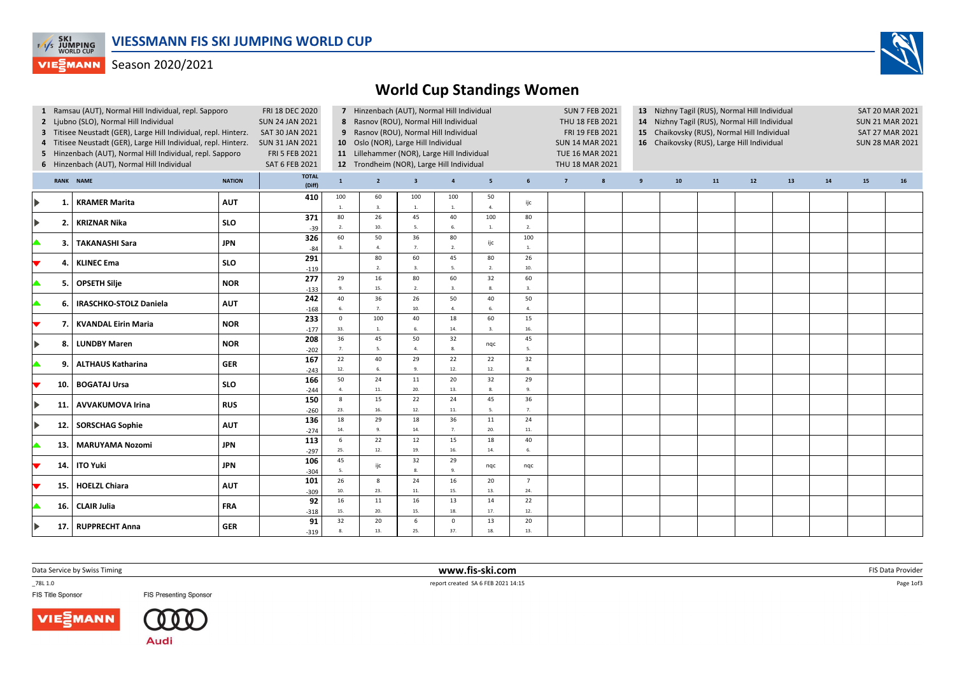

## **VIESMANN** Season 2020/2021



## World Cup Standings Women

|                      |                            | 1 Ramsau (AUT), Normal Hill Individual, repl. Sapporo<br>2 Ljubno (SLO), Normal Hill Individual<br>3 Titisee Neustadt (GER), Large Hill Individual, repl. Hinterz.<br>4 Titisee Neustadt (GER), Large Hill Individual, repl. Hinterz.<br>5 Hinzenbach (AUT), Normal Hill Individual, repl. Sapporo<br>6 Hinzenbach (AUT), Normal Hill Individual |            | FRI 18 DEC 2020<br><b>SUN 24 JAN 2021</b><br>SAT 30 JAN 2021<br>SUN 31 JAN 2021<br>FRI 5 FEB 2021<br>SAT 6 FEB 2021 |                      | 7 Hinzenbach (AUT), Normal Hill Individual<br>8 Rasnov (ROU), Normal Hill Individual<br>9 Rasnov (ROU), Normal Hill Individual<br>10 Oslo (NOR), Large Hill Individual<br>11 Lillehammer (NOR), Large Hill Individual<br>12 Trondheim (NOR), Large Hill Individual |                         |                      |                         | <b>SUN 7 FEB 2021</b><br>THU 18 FEB 2021<br>FRI 19 FEB 2021<br><b>SUN 14 MAR 2021</b><br>TUE 16 MAR 2021<br>THU 18 MAR 2021 |                |   |   | 13 Nizhny Tagil (RUS), Normal Hill Individual<br>14 Nizhny Tagil (RUS), Normal Hill Individual<br>15 Chaikovsky (RUS), Normal Hill Individual<br>16 Chaikovsky (RUS), Large Hill Individual |    | SAT 20 MAR 2021<br><b>SUN 21 MAR 2021</b><br>SAT 27 MAR 2021<br><b>SUN 28 MAR 2021</b> |    |    |    |    |
|----------------------|----------------------------|--------------------------------------------------------------------------------------------------------------------------------------------------------------------------------------------------------------------------------------------------------------------------------------------------------------------------------------------------|------------|---------------------------------------------------------------------------------------------------------------------|----------------------|--------------------------------------------------------------------------------------------------------------------------------------------------------------------------------------------------------------------------------------------------------------------|-------------------------|----------------------|-------------------------|-----------------------------------------------------------------------------------------------------------------------------|----------------|---|---|---------------------------------------------------------------------------------------------------------------------------------------------------------------------------------------------|----|----------------------------------------------------------------------------------------|----|----|----|----|
|                      | RANK NAME<br><b>NATION</b> |                                                                                                                                                                                                                                                                                                                                                  |            | <b>TOTAL</b><br>(Diff)                                                                                              | $\mathbf{1}$         | $\overline{2}$                                                                                                                                                                                                                                                     | $\overline{\mathbf{3}}$ | $\overline{4}$       | $5\phantom{a}$          | $6\phantom{1}$                                                                                                              | $\overline{7}$ | 8 | 9 | 10                                                                                                                                                                                          | 11 | 12                                                                                     | 13 | 14 | 15 | 16 |
| ▶                    | -1                         | <b>KRAMER Marita</b>                                                                                                                                                                                                                                                                                                                             | <b>AUT</b> | 410                                                                                                                 | 100<br>1.            | 60<br>3.                                                                                                                                                                                                                                                           | 100<br>$\mathbf{1}$ .   | 100<br>1.            | 50<br>$\overline{4}$    | ijc                                                                                                                         |                |   |   |                                                                                                                                                                                             |    |                                                                                        |    |    |    |    |
|                      | 2.                         | <b>KRIZNAR Nika</b>                                                                                                                                                                                                                                                                                                                              | <b>SLO</b> | 371<br>$-39$                                                                                                        | 80<br>2.             | 26<br>10.                                                                                                                                                                                                                                                          | 45<br>5.                | 40<br>6.             | 100<br>$\overline{1}$ . | 80<br>$\overline{2}$                                                                                                        |                |   |   |                                                                                                                                                                                             |    |                                                                                        |    |    |    |    |
|                      | 3                          | <b>TAKANASHI Sara</b>                                                                                                                                                                                                                                                                                                                            | <b>JPN</b> | 326<br>$-84$                                                                                                        | 60<br>$\overline{a}$ | 50<br>4.                                                                                                                                                                                                                                                           | 36<br>$\overline{7}$    | 80<br>$\overline{2}$ | ijc                     | 100<br>$\overline{1}$                                                                                                       |                |   |   |                                                                                                                                                                                             |    |                                                                                        |    |    |    |    |
| $\blacktriangledown$ | 4.                         | <b>KLINEC Ema</b>                                                                                                                                                                                                                                                                                                                                | <b>SLO</b> | 291<br>$-119$                                                                                                       |                      | 80<br>2.                                                                                                                                                                                                                                                           | 60<br>3.                | 45<br>5.             | 80<br>2.                | 26<br>10                                                                                                                    |                |   |   |                                                                                                                                                                                             |    |                                                                                        |    |    |    |    |
|                      | 5                          | <b>OPSETH Silje</b>                                                                                                                                                                                                                                                                                                                              | <b>NOR</b> | 277<br>$-133$                                                                                                       | 29                   | 16<br>15.                                                                                                                                                                                                                                                          | 80<br>2.                | 60<br>$\mathbf{3}$   | 32<br>8.                | 60<br>$\overline{a}$                                                                                                        |                |   |   |                                                                                                                                                                                             |    |                                                                                        |    |    |    |    |
|                      | 6.                         | <b>IRASCHKO-STOLZ Daniela</b>                                                                                                                                                                                                                                                                                                                    | <b>AUT</b> | 242<br>$-168$                                                                                                       | 40                   | 36<br>7.                                                                                                                                                                                                                                                           | 26<br>10.               | 50<br>$\Delta$       | 40<br>6.                | 50<br>$\Lambda$                                                                                                             |                |   |   |                                                                                                                                                                                             |    |                                                                                        |    |    |    |    |
|                      | 7                          | <b>KVANDAL Eirin Maria</b>                                                                                                                                                                                                                                                                                                                       | <b>NOR</b> | 233<br>$-177$                                                                                                       | $\mathbf{0}$<br>33.  | 100<br>1.                                                                                                                                                                                                                                                          | 40<br>6.                | 18<br>14.            | 60<br>$\overline{3}$    | 15<br>16                                                                                                                    |                |   |   |                                                                                                                                                                                             |    |                                                                                        |    |    |    |    |
|                      | -8.                        | <b>LUNDBY Maren</b>                                                                                                                                                                                                                                                                                                                              | <b>NOR</b> | 208<br>$-202$                                                                                                       | 36<br>$\overline{7}$ | 45<br>5.                                                                                                                                                                                                                                                           | 50<br>$\overline{a}$    | 32<br>8.             | ngc                     | 45<br>$\overline{\phantom{a}}$                                                                                              |                |   |   |                                                                                                                                                                                             |    |                                                                                        |    |    |    |    |
|                      | 9                          | <b>ALTHAUS Katharina</b>                                                                                                                                                                                                                                                                                                                         | <b>GER</b> | 167<br>$-243$                                                                                                       | 22<br>12.            | 40<br>6.                                                                                                                                                                                                                                                           | 29<br>9.                | 22<br>12.            | 22<br>12.               | 32                                                                                                                          |                |   |   |                                                                                                                                                                                             |    |                                                                                        |    |    |    |    |
|                      | 10                         | <b>BOGATAJ Ursa</b>                                                                                                                                                                                                                                                                                                                              | <b>SLO</b> | 166<br>$-244$                                                                                                       | 50                   | 24<br>11.                                                                                                                                                                                                                                                          | $11\,$<br>20.           | 20<br>13.            | 32<br>8.                | 29                                                                                                                          |                |   |   |                                                                                                                                                                                             |    |                                                                                        |    |    |    |    |
|                      | 11.                        | <b>AVVAKUMOVA Irina</b>                                                                                                                                                                                                                                                                                                                          | <b>RUS</b> | 150<br>$-260$                                                                                                       | 8<br>23.             | 15<br>16.                                                                                                                                                                                                                                                          | 22<br>12.               | 24<br>$11.$          | 45<br>5.                | 36<br>$\overline{7}$                                                                                                        |                |   |   |                                                                                                                                                                                             |    |                                                                                        |    |    |    |    |
|                      | 12.                        | <b>SORSCHAG Sophie</b>                                                                                                                                                                                                                                                                                                                           | <b>AUT</b> | 136<br>$-274$                                                                                                       | 18<br>14.            | 29<br>$\mathbf{q}$                                                                                                                                                                                                                                                 | 18<br>14.               | 36<br>$\overline{7}$ | 11<br>20.               | 24<br>11.                                                                                                                   |                |   |   |                                                                                                                                                                                             |    |                                                                                        |    |    |    |    |
|                      | 13.                        | <b>MARUYAMA Nozomi</b>                                                                                                                                                                                                                                                                                                                           | <b>JPN</b> | 113<br>$-297$                                                                                                       | 6<br>25.             | 22<br>12.                                                                                                                                                                                                                                                          | 12<br>19.               | 15<br>16.            | 18<br>14.               | 40<br>-6                                                                                                                    |                |   |   |                                                                                                                                                                                             |    |                                                                                        |    |    |    |    |
|                      | 14.                        | <b>ITO Yuki</b>                                                                                                                                                                                                                                                                                                                                  | <b>JPN</b> | 106<br>$-304$                                                                                                       | 45                   | ijc                                                                                                                                                                                                                                                                | 32<br>$\mathbf{g}$      | 29<br>$\mathsf q$    | ngc                     | ngc                                                                                                                         |                |   |   |                                                                                                                                                                                             |    |                                                                                        |    |    |    |    |
|                      | 15.                        | <b>HOELZL Chiara</b>                                                                                                                                                                                                                                                                                                                             | <b>AUT</b> | 101<br>$-309$                                                                                                       | 26<br>10.            | 8<br>23.                                                                                                                                                                                                                                                           | 24<br>$11.$             | 16<br>15.            | 20<br>13.               | $\overline{7}$<br>24.                                                                                                       |                |   |   |                                                                                                                                                                                             |    |                                                                                        |    |    |    |    |
|                      | 16.                        | <b>CLAIR Julia</b>                                                                                                                                                                                                                                                                                                                               | <b>FRA</b> | 92<br>$-318$                                                                                                        | 16<br>15.            | $11\,$<br>20.                                                                                                                                                                                                                                                      | 16<br>15.               | 13<br>18.            | 14<br>17.               | 22<br>12.                                                                                                                   |                |   |   |                                                                                                                                                                                             |    |                                                                                        |    |    |    |    |
| ▶                    | 17.                        | <b>RUPPRECHT Anna</b>                                                                                                                                                                                                                                                                                                                            | <b>GER</b> | 91<br>$-319$                                                                                                        | 32                   | 20<br>13.                                                                                                                                                                                                                                                          | 6<br>25.                | $\Omega$<br>37.      | 13<br>18.               | 20<br>13.                                                                                                                   |                |   |   |                                                                                                                                                                                             |    |                                                                                        |    |    |    |    |

Data Service by Swiss Timing

\_78L 1.0

FIS Title Sponsor



www.fis-ski.com

m FIS Data Provider<br>1985 - Paul Barbara Barat de Barbara Barat de Barbara Barbara Barbara Barat de Barbara Barbara Barbara Barbar<br>1986 - Paul Barbara Barbara Barbara Barbara Barbara Barbara Barbara Barbara Barbara Barbara

VIESMANN



report created SA 6 FEB 2021 14:15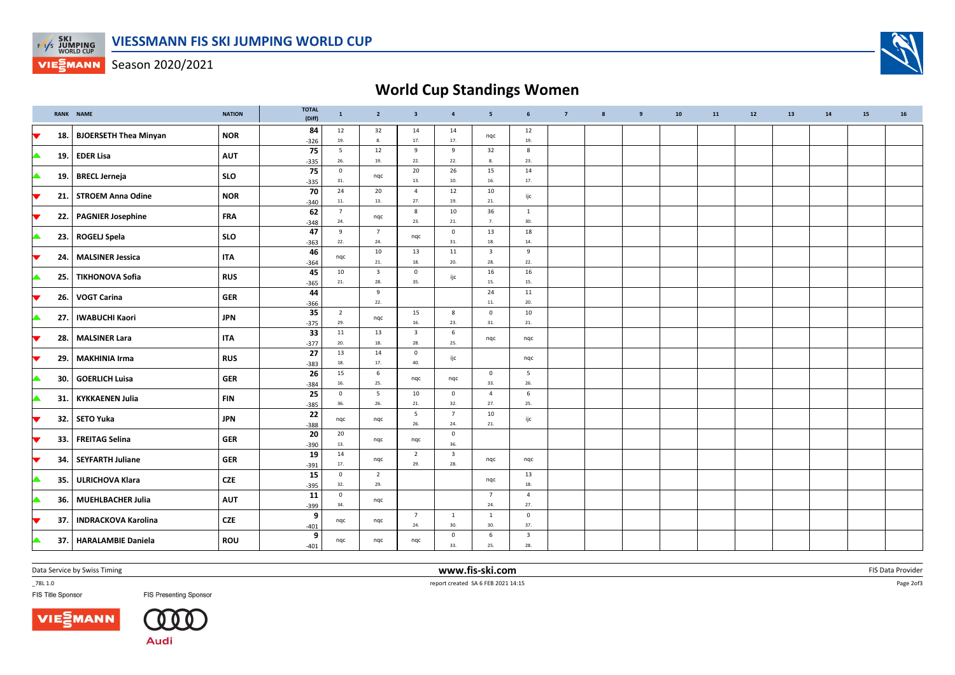

**VIESMANN** Season 2020/2021

## World Cup Standings Women

|                      | RANK NAME |                              | <b>NATION</b> | <b>TOTAL</b><br>(Diff) | $\mathbf{1}$           | $\overline{2}$        | $\overline{\mathbf{3}}$ | $\overline{4}$                 | 5 <sub>1</sub>          | $6\phantom{a}$                 | $\overline{7}$ | 8 | 9 | 10 | 11 | 12 | 13 | 14 | 15 | 16 |
|----------------------|-----------|------------------------------|---------------|------------------------|------------------------|-----------------------|-------------------------|--------------------------------|-------------------------|--------------------------------|----------------|---|---|----|----|----|----|----|----|----|
| ▼                    | 18.       | <b>BJOERSETH Thea Minyan</b> | <b>NOR</b>    | 84<br>$-326$           | 12<br>19.              | 32<br>8.              | 14<br>17.               | 14<br>17.                      | nqc                     | 12<br>19.                      |                |   |   |    |    |    |    |    |    |    |
| ▲                    | 19.       | EDER Lisa                    | <b>AUT</b>    | 75                     | 5                      | 12                    | 9                       | 9                              | 32                      | 8                              |                |   |   |    |    |    |    |    |    |    |
|                      |           |                              |               | $-335$<br>75           | 26.<br>$\mathbf 0$     | 19.                   | 22.<br>20               | 22.<br>26                      | 8.<br>15                | 23.<br>14                      |                |   |   |    |    |    |    |    |    |    |
| ▲                    | 19.       | <b>BRECL Jerneja</b>         | <b>SLO</b>    | $-335$                 | 31.                    | nqc                   | 13.                     | 10.                            | 16.                     | 17.                            |                |   |   |    |    |    |    |    |    |    |
| ▼                    | 21.       | STROEM Anna Odine            | <b>NOR</b>    | 70                     | 24                     | 20                    | $\overline{4}$          | 12                             | 10                      | ijc                            |                |   |   |    |    |    |    |    |    |    |
|                      |           |                              |               | $-340$<br>62           | 11.<br>$7\overline{ }$ | 13.                   | 27.<br>$\boldsymbol{8}$ | 19.<br>10                      | 21.<br>36               | 1                              |                |   |   |    |    |    |    |    |    |    |
| ▼                    | 22.       | <b>PAGNIER Josephine</b>     | <b>FRA</b>    | $-348$                 | 24.                    | nqc                   | 23.                     | 21.                            | 7.                      | 30.                            |                |   |   |    |    |    |    |    |    |    |
| ▲                    | 23.       | ROGELJ Spela                 | <b>SLO</b>    | 47<br>$-363$           | 9<br>22.               | $\overline{7}$<br>24. | nqc                     | $\mathbf 0$<br>31.             | 13<br>18.               | 18<br>14.                      |                |   |   |    |    |    |    |    |    |    |
|                      |           |                              | <b>ITA</b>    | 46                     |                        | 10                    | 13                      | 11                             | $\overline{\mathbf{3}}$ | 9                              |                |   |   |    |    |    |    |    |    |    |
| ▼                    | 24.       | MALSINER Jessica             |               | $-364$                 | ngc                    | 21.                   | 18.                     | 20.                            | 28.                     | 22.                            |                |   |   |    |    |    |    |    |    |    |
|                      | 25.       | TIKHONOVA Sofia              | <b>RUS</b>    | 45<br>$-365$           | 10<br>21.              | $\overline{3}$<br>28. | $\mathbf 0$<br>35.      | ijc                            | 16<br>15.               | 16<br>15.                      |                |   |   |    |    |    |    |    |    |    |
| ▼                    | 26.       | <b>VOGT Carina</b>           | <b>GER</b>    | 44                     |                        | 9                     |                         |                                | 24                      | 11                             |                |   |   |    |    |    |    |    |    |    |
|                      |           |                              |               | $-366$                 |                        | 22.                   |                         |                                | $11.$                   | 20.                            |                |   |   |    |    |    |    |    |    |    |
| ▲                    | 27.       | <b>IWABUCHI Kaori</b>        | <b>JPN</b>    | 35<br>$-375$           | $\overline{2}$<br>29.  | nqc                   | 15<br>16.               | 8<br>23.                       | $\mathbf 0$<br>31.      | 10<br>21.                      |                |   |   |    |    |    |    |    |    |    |
| ▼                    | 28.       | MALSINER Lara                | <b>ITA</b>    | 33                     | 11                     | 13                    | $\overline{\mathbf{3}}$ | 6                              | nqc                     | nqc                            |                |   |   |    |    |    |    |    |    |    |
|                      |           |                              |               | $-377$<br>27           | 20.<br>13              | 18.<br>14             | 28.<br>$\mathsf 0$      | 25.                            |                         |                                |                |   |   |    |    |    |    |    |    |    |
| ▼                    | 29.       | MAKHINIA Irma                | <b>RUS</b>    | $-383$                 | $18. \,$               | 17.                   | 40.                     | ijc                            |                         | nqc                            |                |   |   |    |    |    |    |    |    |    |
| ▲                    | 30.       | <b>GOERLICH Luisa</b>        | <b>GER</b>    | 26                     | 15                     | 6                     | nqc                     | nqc                            | $\overline{0}$          | 5                              |                |   |   |    |    |    |    |    |    |    |
|                      |           |                              |               | $-384$<br>25           | 16.<br>$\mathbf 0$     | 25.<br>5              | 10                      | $\mathbf 0$                    | 33.<br>$\overline{4}$   | 26.<br>6                       |                |   |   |    |    |    |    |    |    |    |
| ▲                    | 31.       | <b>KYKKAENEN Julia</b>       | <b>FIN</b>    | $-385$                 | 36.                    | 26.                   | 21.                     | 32.                            | 27.                     | 25.                            |                |   |   |    |    |    |    |    |    |    |
| ▼                    | 32.       | SETO Yuka                    | <b>JPN</b>    | 22                     | ngc                    | nqc                   | $5\phantom{.0}$<br>26.  | $\overline{7}$<br>24.          | 10<br>21.               | ijc                            |                |   |   |    |    |    |    |    |    |    |
|                      |           |                              |               | $-388$<br>20           | 20                     |                       |                         | $\mathbf 0$                    |                         |                                |                |   |   |    |    |    |    |    |    |    |
| $\blacktriangledown$ | 33.       | <b>FREITAG Selina</b>        | <b>GER</b>    | $-390$                 | 13.                    | ngc                   | nqc                     | 36.                            |                         |                                |                |   |   |    |    |    |    |    |    |    |
| ▼                    | 34.       | SEYFARTH Juliane             | <b>GER</b>    | 19<br>$-391$           | 14<br>17.              | nqc                   | $\overline{2}$<br>29.   | $\overline{\mathbf{3}}$<br>28. | nqc                     | nqc                            |                |   |   |    |    |    |    |    |    |    |
| ▲                    | 35.       | <b>ULRICHOVA Klara</b>       | <b>CZE</b>    | 15                     | $\mathbf 0$            | $\overline{2}$        |                         |                                | nqc                     | 13                             |                |   |   |    |    |    |    |    |    |    |
|                      |           |                              |               | $-395$<br>11           | 32.<br>$\mathbf 0$     | 29.                   |                         |                                | $7\overline{ }$         | 18.<br>$\overline{4}$          |                |   |   |    |    |    |    |    |    |    |
| ▲                    | 36.       | MUEHLBACHER Julia            | <b>AUT</b>    | $-399$                 | 34.                    | nqc                   |                         |                                | 24.                     | 27.                            |                |   |   |    |    |    |    |    |    |    |
| $\blacktriangledown$ | 37.       | <b>INDRACKOVA Karolina</b>   | <b>CZE</b>    | 9                      | nqc                    | nqc                   | $7\overline{}$          | <sup>1</sup>                   | $\overline{1}$          | $\mathsf 0$                    |                |   |   |    |    |    |    |    |    |    |
|                      |           |                              |               | $-401$<br>9            |                        |                       | 24.                     | 30.<br>$\mathbf 0$             | 30.<br>6                | 37.<br>$\overline{\mathbf{3}}$ |                |   |   |    |    |    |    |    |    |    |
| ▲                    | 37.       | <b>HARALAMBIE Daniela</b>    | ROU           | $-401$                 | ngc                    | ngc                   | nqc                     | 33.                            | 25.                     | 28.                            |                |   |   |    |    |    |    |    |    |    |

Data Service by Swiss Timing

\_78L 1.0

FIS Title Sponsor





FIS Presenting Sponsor

 www.fis-ski.comreport created SA 6 FEB 2021 14:15

m FIS Data Provider<br>1445 - Personal Barbara Barang Barang Barang Personal Barang Personal Barang Personal Barang Personal Barang<br>1445 - Personal Barang Personal Barang Personal Barang Personal Barang Personal Barang Person

Page 2of3